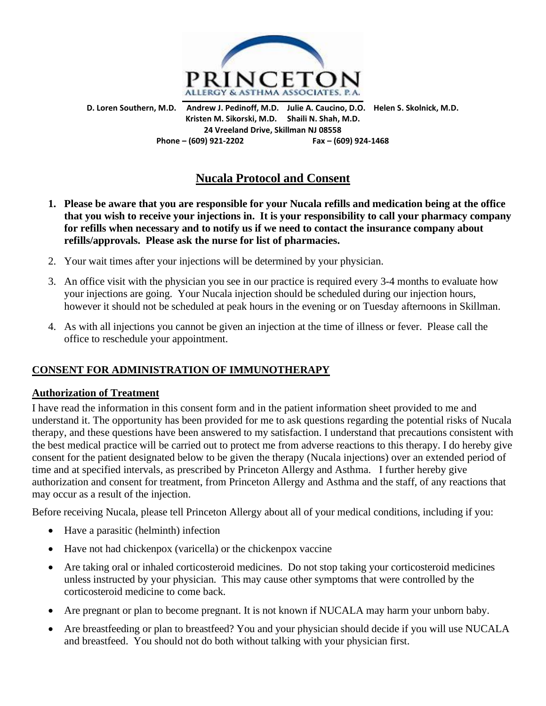

**D. Loren Southern, M.D. Andrew J. Pedinoff, M.D. Julie A. Caucino, D.O. Helen S. Skolnick, M.D. Kristen M. Sikorski, M.D. Shaili N. Shah, M.D. 24 Vreeland Drive, Skillman NJ 08558 Phone – (609) 921-2202 Fax – (609) 924-1468**

# **Nucala Protocol and Consent**

- **1. Please be aware that you are responsible for your Nucala refills and medication being at the office that you wish to receive your injections in. It is your responsibility to call your pharmacy company for refills when necessary and to notify us if we need to contact the insurance company about refills/approvals. Please ask the nurse for list of pharmacies.**
- 2. Your wait times after your injections will be determined by your physician.
- 3. An office visit with the physician you see in our practice is required every 3-4 months to evaluate how your injections are going. Your Nucala injection should be scheduled during our injection hours, however it should not be scheduled at peak hours in the evening or on Tuesday afternoons in Skillman.
- 4. As with all injections you cannot be given an injection at the time of illness or fever. Please call the office to reschedule your appointment.

## **CONSENT FOR ADMINISTRATION OF IMMUNOTHERAPY**

#### **Authorization of Treatment**

I have read the information in this consent form and in the patient information sheet provided to me and understand it. The opportunity has been provided for me to ask questions regarding the potential risks of Nucala therapy, and these questions have been answered to my satisfaction. I understand that precautions consistent with the best medical practice will be carried out to protect me from adverse reactions to this therapy. I do hereby give consent for the patient designated below to be given the therapy (Nucala injections) over an extended period of time and at specified intervals, as prescribed by Princeton Allergy and Asthma. I further hereby give authorization and consent for treatment, from Princeton Allergy and Asthma and the staff, of any reactions that may occur as a result of the injection.

Before receiving Nucala, please tell Princeton Allergy about all of your medical conditions, including if you:

- Have a parasitic (helminth) infection
- Have not had chickenpox (varicella) or the chickenpox vaccine
- Are taking oral or inhaled corticosteroid medicines. Do not stop taking your corticosteroid medicines unless instructed by your physician. This may cause other symptoms that were controlled by the corticosteroid medicine to come back.
- Are pregnant or plan to become pregnant. It is not known if NUCALA may harm your unborn baby.
- Are breastfeeding or plan to breastfeed? You and your physician should decide if you will use NUCALA and breastfeed. You should not do both without talking with your physician first.